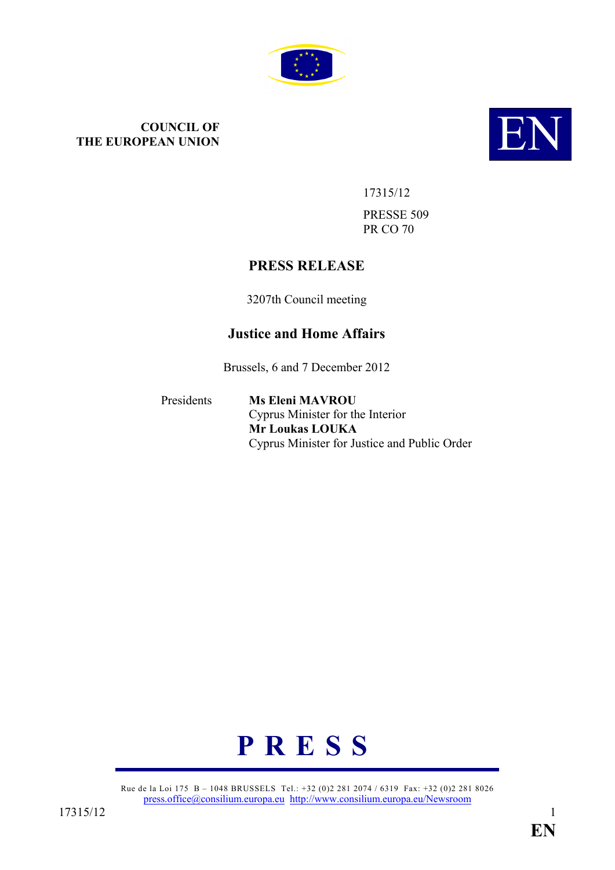

# **COUNCIL OF<br>THE EUROPEAN UNION THE EUROPEAN UNION**



17315/12

PRESSE 509 PR CO 70

# **PRESS RELEASE**

3207th Council meeting

# **Justice and Home Affairs**

Brussels, 6 and 7 December 2012

Presidents **Ms Eleni MAVROU** Cyprus Minister for the Interior **Mr Loukas LOUKA** Cyprus Minister for Justice and Public Order



Rue de la Loi 175 B – 1048 BRUSSELS Tel.: +32 (0)2 281 2074 / 6319 Fax: +32 (0)2 281 8026 [press.office@consilium.europa.eu](mailto:press.office@consilium.europa.eu) <http://www.consilium.europa.eu/Newsroom>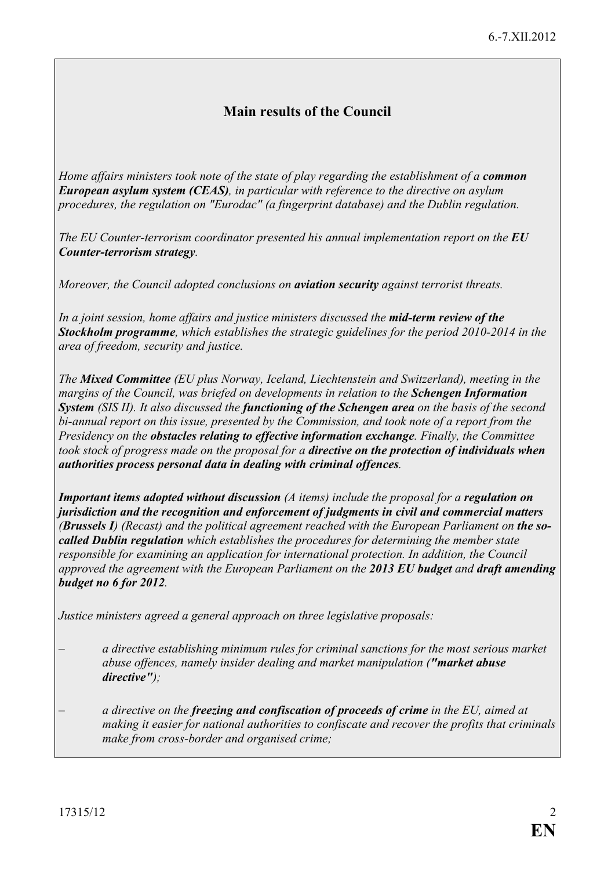# **Main results of the Council**

*Home affairs ministers took note of the state of play regarding the establishment of a <i>common European asylum system (CEAS), in particular with reference to the directive on asylum procedures, the regulation on "Eurodac" (a fingerprint database) and the Dublin regulation.*

*The EU Counter-terrorism coordinator presented his annual implementation report on the <i>EU Counter-terrorism strategy.* 

*Moreover, the Council adopted conclusions on aviation security against terrorist threats.*

*In a joint session, home affairs and justice ministers discussed the mid-term review of the Stockholm programme, which establishes the strategic guidelines for the period 2010-2014 in the area of freedom, security and justice.* 

*The Mixed Committee (EU plus Norway, Iceland, Liechtenstein and Switzerland), meeting in the margins of the Council, was briefed on developments in relation to the Schengen Information System (SIS II). It also discussed the functioning of the Schengen area on the basis of the second bi-annual report on this issue, presented by the Commission, and took note of a report from the Presidency on the obstacles relating to effective information exchange. Finally, the Committee took stock of progress made on the proposal for a directive on the protection of individuals when authorities process personal data in dealing with criminal offences.*

*Important items adopted without discussion (A items) include the proposal for a regulation on jurisdiction and the recognition and enforcement of judgments in civil and commercial matters (Brussels I) (Recast) and the political agreement reached with the European Parliament on the socalled Dublin regulation which establishes the procedures for determining the member state responsible for examining an application for international protection. In addition, the Council approved the agreement with the European Parliament on the 2013 EU budget and draft amending budget no 6 for 2012.*

*Justice ministers agreed a general approach on three legislative proposals:*

- *a directive establishing minimum rules for criminal sanctions for the most serious market abuse offences, namely insider dealing and market manipulation ("market abuse directive");*
- *a directive on the freezing and confiscation of proceeds of crime in the EU, aimed at making it easier for national authorities to confiscate and recover the profits that criminals make from cross-border and organised crime;*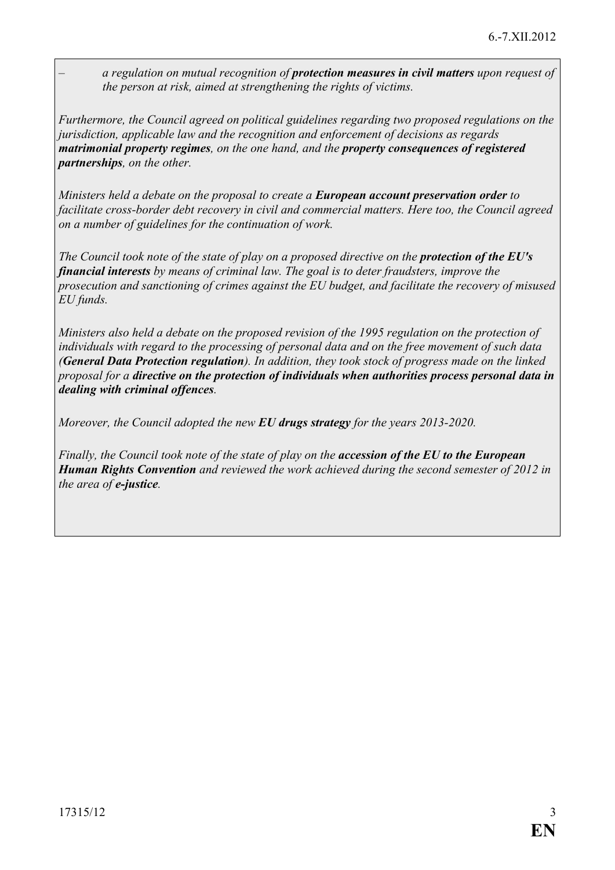– *a regulation on mutual recognition of protection measures in civil matters upon request of the person at risk, aimed at strengthening the rights of victims.*

*Furthermore, the Council agreed on political guidelines regarding two proposed regulations on the jurisdiction, applicable law and the recognition and enforcement of decisions as regards matrimonial property regimes, on the one hand, and the property consequences of registered partnerships, on the other.*

*Ministers held a debate on the proposal to create a European account preservation order to facilitate cross-border debt recovery in civil and commercial matters. Here too, the Council agreed on a number of guidelines for the continuation of work.*

*The Council took note of the state of play on a proposed directive on the protection of the EU's financial interests by means of criminal law. The goal is to deter fraudsters, improve the prosecution and sanctioning of crimes against the EU budget, and facilitate the recovery of misused EU funds.*

*Ministers also held a debate on the proposed revision of the 1995 regulation on the protection of individuals with regard to the processing of personal data and on the free movement of such data (General Data Protection regulation). In addition, they took stock of progress made on the linked proposal for a directive on the protection of individuals when authorities process personal data in dealing with criminal offences.*

*Moreover, the Council adopted the new EU drugs strategy for the years 2013-2020.* 

*Finally, the Council took note of the state of play on the accession of the EU to the European Human Rights Convention and reviewed the work achieved during the second semester of 2012 in the area of e-justice.*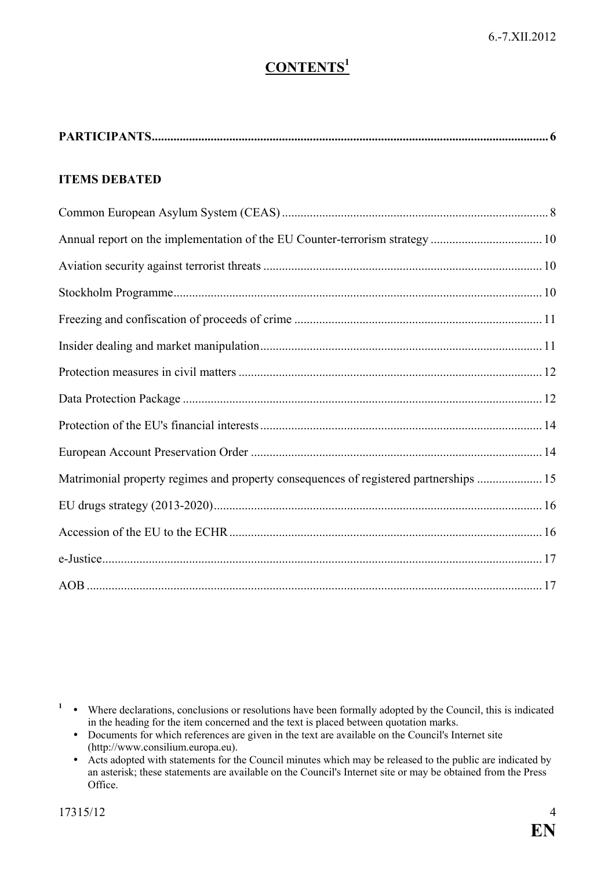# **CONTENTS<sup>1</sup>**

|--|--|

### **ITEMS DEBATED**

| Annual report on the implementation of the EU Counter-terrorism strategy  10          |  |
|---------------------------------------------------------------------------------------|--|
|                                                                                       |  |
|                                                                                       |  |
|                                                                                       |  |
|                                                                                       |  |
|                                                                                       |  |
|                                                                                       |  |
|                                                                                       |  |
|                                                                                       |  |
| Matrimonial property regimes and property consequences of registered partnerships  15 |  |
|                                                                                       |  |
|                                                                                       |  |
|                                                                                       |  |
|                                                                                       |  |

<sup>1</sup> • Where declarations, conclusions or resolutions have been formally adopted by the Council, this is indicated in the heading for the item concerned and the text is placed between quotation marks.

- Documents for which references are given in the text are available on the Council's Internet site (http://www.consilium.europa.eu).
- Acts adopted with statements for the Council minutes which may be released to the public are indicated by an asterisk; these statements are available on the Council's Internet site or may be obtained from the Press Office.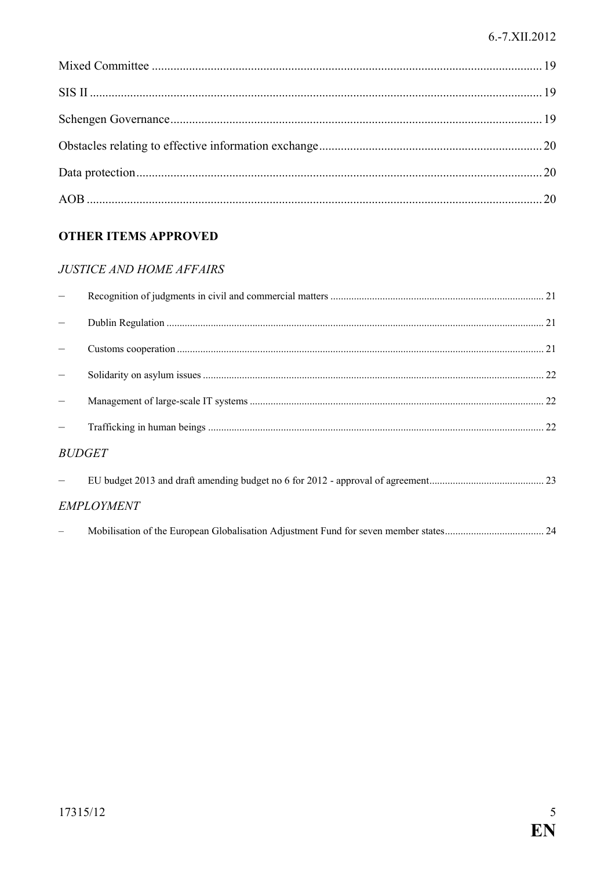#### 6.-7.XII.2012

# **OTHER ITEMS APPROVED**

# **JUSTICE AND HOME AFFAIRS**

| <b>BUDGET</b>     |  |
|-------------------|--|
|                   |  |
| <b>EMPLOYMENT</b> |  |
|                   |  |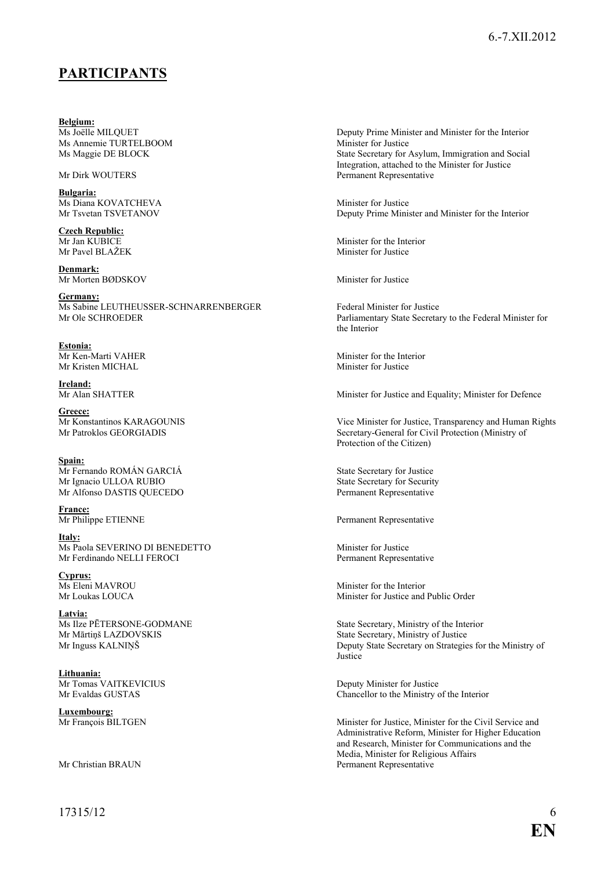# <span id="page-5-0"></span>**PARTICIPANTS**

**Belgium:** Ms Annemie TURTELBOOM<br>Ms Maggie DE BLOCK

**Bulgaria:** Ms Diana KOVATCHEVA Minister for Justice

**Czech Republic:**<br>Mr Jan KUBICE Mr Pavel BLAŽEK

**Denmark:** Mr Morten BØDSKOV Minister for Justice

**Germany:** Ms Sabine LEUTHEUSSER-SCHNARRENBERGER<br>
Mr Ole SCHROEDER<br>
Parliamentary State Secretar

**Estonia:** Mr Kristen MICHAL

**Ireland:**<br>Mr Alan SHATTER

**Greece:**

**Spain:** Mr Fernando ROMÁN GARCIÁ<br>
Mr Ignacio ULLOA RUBIO<br>
State Secretary for Security Mr Ignacio ULLOA RUBIO Mr Alfonso DASTIS QUECEDO Permanent Representative

**France:**<br>Mr Philippe ETIENNE

**Italy:** Ms Paola SEVERINO DI BENEDETTO Minister for Justice Mr Ferdinando NELLI FEROCI Permanent Representative

**Cyprus:**<br>Ms Eleni MAVROU

**Latvia:**<br>Ms Ilze PĒTERSONE-GODMANE Mr Mārtiņš LAZDOVSKIS State Secretary, Ministry of Justice

**Lithuania:** Mr Tomas VAITKEVICIUS<br>
Mr Evaldas GUSTAS<br>
Mr Evaldas GUSTAS<br>
Chancellor to the Ministry c

**Luxembourg:**<br>Mr François BILTGEN

Deputy Prime Minister and Minister for the Interior<br>Minister for Justice State Secretary for Asylum, Immigration and Social Integration, attached to the Minister for Justice Mr Dirk WOUTERS Permanent Representative

Mr Tsvetan TSVETANOV Deputy Prime Minister and Minister for the Interior

Minister for the Interior<br>Minister for Justice

Parliamentary State Secretary to the Federal Minister for the Interior

Mr Ken-Marti VAHER Minister for the Interior<br>Mr Kristen MICHAL Minister for Justice

Minister for Justice and Equality; Minister for Defence

Mr Konstantinos KARAGOUNIS<br>
Mr Patroklos GEORGIADIS<br>
Secretary-General for Civil Protection (Ministry of Secretary-General for Civil Protection (Ministry of Protection of the Citizen)

Permanent Representative

Minister for the Interior Mr Loukas LOUCA Minister for Justice and Public Order

Ms Ilze PĒTERSONE-GODMANE<br>
Mr Mārtiņš LAZDOVSKIS<br>
State Secretary, Ministry of Justice Deputy State Secretary on Strategies for the Ministry of **Justice** 

Chancellor to the Ministry of the Interior

Minister for Justice, Minister for the Civil Service and Administrative Reform, Minister for Higher Education and Research, Minister for Communications and the Media, Minister for Religious Affairs Mr Christian BRAUN Permanent Representative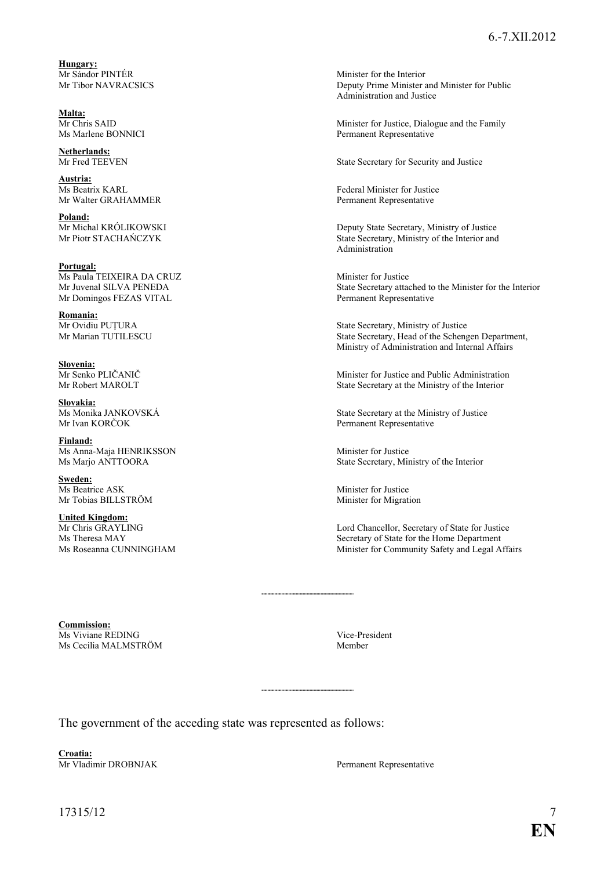**Hungary:**<br>Mr Sándor PINTÉR Mr Sándor PINTÉR<br>
Minister for the Interior<br>
Minister interior<br>
Deputy Prime Minister and Minister and Minister and Minister and Minister and Minister and Minister and Minister and Minister and Minister and Minister and Mi

**Malta:**

**Netherlands:**<br>Mr Fred TEEVEN

**Austria:**<br>Ms Beatrix KARL Mr Walter GRAHAMMER

**Poland:**<br>Mr Michal KRÓLIKOWSKI

**Portugal:** Ms Paula TEIXEIRA DA CRUZ<br>
Mr Juvenal SILVA PENEDA<br>
State Secretary attac Mr Domingos FEZAS VITAL Permanent Representative

**Romania:**<br>Mr Ovidiu PUTURA

**Slovenia:**<br>Mr Senko PLIČANIČ

**Slovakia:**<br>Ms Monika JANKOVSKÁ

**Finland:** Ms Anna-Maja HENRIKSSON Minister for Justice<br>Ms Marjo ANTTOORA State Secretary, Min

**Sweden:** Ms Beatrice ASK Minister for Justice

**United Kingdom:**<br>Mr Chris GRAYLING

Deputy Prime Minister and Minister for Public Administration and Justice

Mr Chris SAID<br>Minister for Justice, Dialogue and the Family<br>Ms Marlene BONNICI<br>Permanent Representative Permanent Representative

State Secretary for Security and Justice

Federal Minister for Justice<br>Permanent Representative

Mr Michal KRÓLIKOWSKI Deputy State Secretary, Ministry of Justice<br>
Mr Piotr STACHAŃCZYK State Secretary, Ministry of the Interior and State Secretary, Ministry of the Interior and Administration

State Secretary attached to the Minister for the Interior

Mr Ovidiu PUȚURA State Secretary, Ministry of Justice<br>Mr Marian TUTILESCU State Secretary. Head of the Scheng State Secretary, Head of the Schengen Department, Ministry of Administration and Internal Affairs

Mr Senko PLIČANIČ<br>
Minister for Justice and Public Administration<br>
Minister for Justice and Public Administration<br>
State Secretary at the Ministry of the Interior State Secretary at the Ministry of the Interior

Ms Monika JANKOVSKÁ State Secretary at the Ministry of Justice<br>Mr Ivan KORČOK Permanent Representative Permanent Representative

State Secretary, Ministry of the Interior

Mr Tobias BILLSTRÖM Minister for Migration

Mr Chris GRAYLING Lord Chancellor, Secretary of State for Justice<br>Ms Theresa MAY<br>Secretary of State for the Home Department Ms Theresa MAY<br>Ms Roseanna CUNNINGHAM<br>Minister for Community Safety and Legal A:<br>Minister for Community Safety and Legal A: Minister for Community Safety and Legal Affairs

**Commission:** Ms Viviane REDING Vice-President Vice-President Vice-President Vice-President Vice-President Vice-President Vice-President Vice-President Vice-President Vice-President Vice-President Vice-President Vice-President Vice-Pres Ms Cecilia MALMSTRÖM

The government of the acceding state was represented as follows:

**Croatia:** Mr Vladimir DROBNJAK Permanent Representative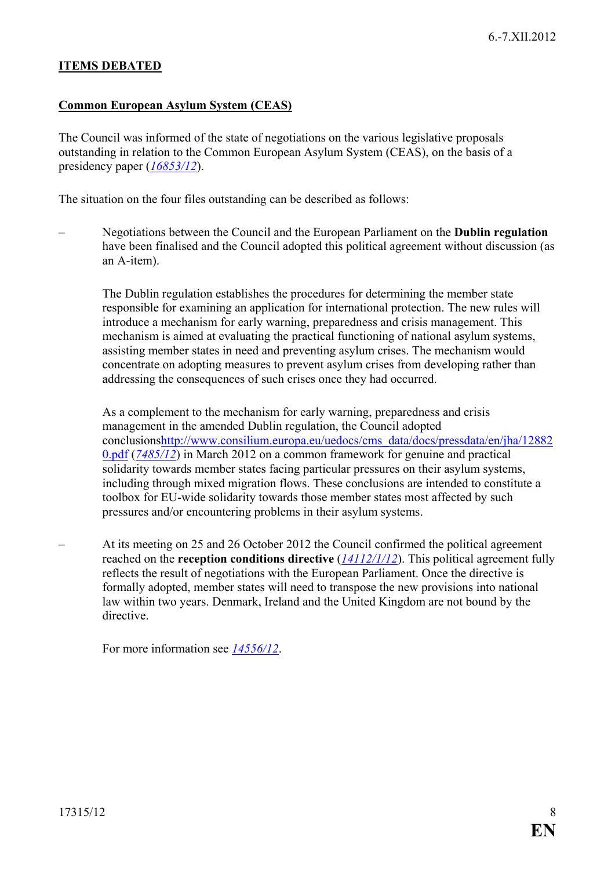#### **ITEMS DEBATED**

#### <span id="page-7-0"></span>**Common European Asylum System (CEAS)**

The Council was informed of the state of negotiations on the various legislative proposals outstanding in relation to the Common European Asylum System (CEAS), on the basis of a presidency paper (*[16853/12](http://register.consilium.europa.eu/pdf/en/12/st16/st16853.en12.pdf)*).

The situation on the four files outstanding can be described as follows:

– Negotiations between the Council and the European Parliament on the **Dublin regulation** have been finalised and the Council adopted this political agreement without discussion (as an A-item).

The Dublin regulation establishes the procedures for determining the member state responsible for examining an application for international protection. The new rules will introduce a mechanism for early warning, preparedness and crisis management. This mechanism is aimed at evaluating the practical functioning of national asylum systems, assisting member states in need and preventing asylum crises. The mechanism would concentrate on adopting measures to prevent asylum crises from developing rather than addressing the consequences of such crises once they had occurred.

As a complement to the mechanism for early warning, preparedness and crisis management in the amended Dublin regulation, the Council adopted conclusion[shttp://www.consilium.europa.eu/uedocs/cms\\_data/docs/pressdata/en/jha/12882](http://www.consilium.europa.eu/uedocs/cms_data/docs/pressdata/en/jha/128820.pdf) [0.pdf](http://www.consilium.europa.eu/uedocs/cms_data/docs/pressdata/en/jha/128820.pdf) (*[7485/12](http://register.consilium.europa.eu/pdf/en/12/st07/st07485.en12.pdf)*) in March 2012 on a common framework for genuine and practical solidarity towards member states facing particular pressures on their asylum systems, including through mixed migration flows. These conclusions are intended to constitute a toolbox for EU-wide solidarity towards those member states most affected by such pressures and/or encountering problems in their asylum systems.

– At its meeting on 25 and 26 October 2012 the Council confirmed the political agreement reached on the **reception conditions directive** (*[14112/1/12](http://register.consilium.europa.eu/pdf/en/12/st14/st14112-re01.en12.pdf)*). This political agreement fully reflects the result of negotiations with the European Parliament. Once the directive is formally adopted, member states will need to transpose the new provisions into national law within two years. Denmark, Ireland and the United Kingdom are not bound by the directive.

For more information see *[14556/12](http://register.consilium.europa.eu/pdf/en/12/st14/st14556.en12.pdf)*.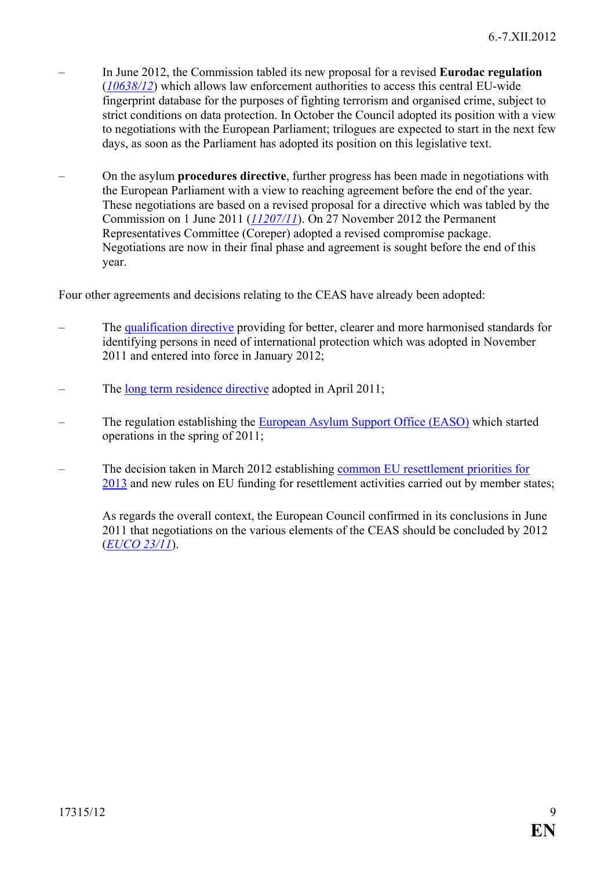- In June 2012, the Commission tabled its new proposal for a revised **Eurodac regulation** (*[10638/12](http://register.consilium.europa.eu/pdf/en/12/st10/st10638.en12.pdf)*) which allows law enforcement authorities to access this central EU-wide fingerprint database for the purposes of fighting terrorism and organised crime, subject to strict conditions on data protection. In October the Council adopted its position with a view to negotiations with the European Parliament; trilogues are expected to start in the next few days, as soon as the Parliament has adopted its position on this legislative text.
- On the asylum **procedures directive**, further progress has been made in negotiations with the European Parliament with a view to reaching agreement before the end of the year. These negotiations are based on a revised proposal for a directive which was tabled by the Commission on 1 June 2011 (*[11207/11](http://register.consilium.europa.eu/pdf/en/11/st11/st11207.en11.pdf)*). On 27 November 2012 the Permanent Representatives Committee (Coreper) adopted a revised compromise package. Negotiations are now in their final phase and agreement is sought before the end of this year.

Four other agreements and decisions relating to the CEAS have already been adopted:

- The [qualification directive](http://www.consilium.europa.eu/uedocs/cms_data/docs/pressdata/en/jha/126305.pdf) providing for better, clearer and more harmonised standards for identifying persons in need of international protection which was adopted in November 2011 and entered into force in January 2012;
- The [long term residence directive](http://www.consilium.europa.eu/uedocs/cms_data/docs/pressdata/en/jha/121451.pdf) adopted in April 2011;
- The regulation establishing the [European Asylum Support Office \(EASO\)](http://ec.europa.eu/home-affairs/policies/asylum/asylum_easo_en.htm) which started operations in the spring of 2011;
- The decision taken in March 2012 establishing [common EU resettlement priorities for](http://www.consilium.europa.eu/uedocs/cms_data/docs/pressdata/en/jha/128823.pdf)  [2013](http://www.consilium.europa.eu/uedocs/cms_data/docs/pressdata/en/jha/128823.pdf) and new rules on EU funding for resettlement activities carried out by member states;

As regards the overall context, the European Council confirmed in its conclusions in June 2011 that negotiations on the various elements of the CEAS should be concluded by 2012 (*[EUCO 23/11](http://register.consilium.europa.eu/pdf/en/11/st00/st00023.en11.pdf)*).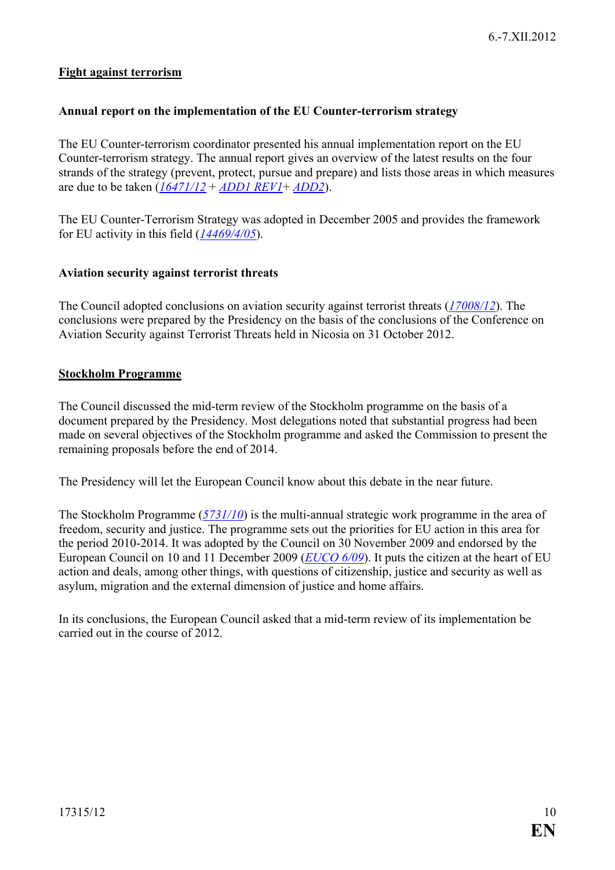#### **Fight against terrorism**

#### <span id="page-9-0"></span>**Annual report on the implementation of the EU Counter-terrorism strategy**

The EU Counter-terrorism coordinator presented his annual implementation report on the EU Counter-terrorism strategy. The annual report gives an overview of the latest results on the four strands of the strategy (prevent, protect, pursue and prepare) and lists those areas in which measures are due to be taken (*[16471/12](http://register.consilium.europa.eu/pdf/en/12/st16/st16471.en12.pdf)* + *[ADD1 REV1](http://register.consilium.europa.eu/pdf/en/12/st16/st16471-ad01re01.en12.pdf)*+ *[ADD2](http://register.consilium.europa.eu/pdf/en/12/st16/st16471-ad02.en12.pdf)*).

The EU Counter-Terrorism Strategy was adopted in December 2005 and provides the framework for EU activity in this field (*[14469/4/05](http://register.consilium.eu.int/pdf/en/05/st14/st14469-re04.en05.pdf)*).

#### <span id="page-9-1"></span>**Aviation security against terrorist threats**

The Council adopted conclusions on aviation security against terrorist threats (*[17008/12](http://register.consilium.europa.eu/pdf/en/12/st17/st17008.en12.pdf)*). The conclusions were prepared by the Presidency on the basis of the conclusions of the Conference on Aviation Security against Terrorist Threats held in Nicosia on 31 October 2012.

#### <span id="page-9-2"></span>**Stockholm Programme**

The Council discussed the mid-term review of the Stockholm programme on the basis of a document prepared by the Presidency. Most delegations noted that substantial progress had been made on several objectives of the Stockholm programme and asked the Commission to present the remaining proposals before the end of 2014.

The Presidency will let the European Council know about this debate in the near future.

The Stockholm Programme (*[5731/10](http://register.consilium.europa.eu/pdf/en/10/st05/st05731.en10.pdf)*) is the multi-annual strategic work programme in the area of freedom, security and justice. The programme sets out the priorities for EU action in this area for the period 2010-2014. It was adopted by the Council on 30 November 2009 and endorsed by the European Council on 10 and 11 December 2009 (*[EUCO 6/09](http://register.consilium.europa.eu/pdf/en/09/st00/st00006.en09.pdf)*). It puts the citizen at the heart of EU action and deals, among other things, with questions of citizenship, justice and security as well as asylum, migration and the external dimension of justice and home affairs.

In its conclusions, the European Council asked that a mid-term review of its implementation be carried out in the course of 2012.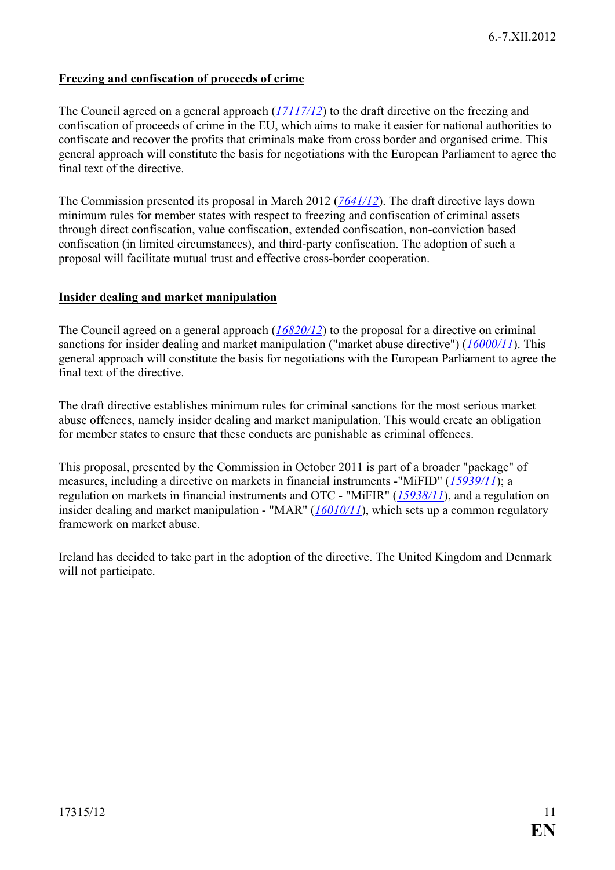#### <span id="page-10-0"></span>**Freezing and confiscation of proceeds of crime**

The Council agreed on a general approach (*[17117/12](http://register.consilium.europa.eu/pdf/en/12/st17/st17117.en12.pdf)*) to the draft directive on the freezing and confiscation of proceeds of crime in the EU, which aims to make it easier for national authorities to confiscate and recover the profits that criminals make from cross border and organised crime. This general approach will constitute the basis for negotiations with the European Parliament to agree the final text of the directive.

The Commission presented its proposal in March 2012 (*[7641/12](http://register.consilium.europa.eu/pdf/en/12/st07/st07641.en12.pdf)*). The draft directive lays down minimum rules for member states with respect to freezing and confiscation of criminal assets through direct confiscation, value confiscation, extended confiscation, non-conviction based confiscation (in limited circumstances), and third-party confiscation. The adoption of such a proposal will facilitate mutual trust and effective cross-border cooperation.

#### <span id="page-10-1"></span>**Insider dealing and market manipulation**

The Council agreed on a general approach (*[16820/12](http://register.consilium.europa.eu/pdf/en/12/st16/st16820.en12.pdf)*) to the proposal for a directive on criminal sanctions for insider dealing and market manipulation ("market abuse directive") (*[16000/11](http://register.consilium.europa.eu/pdf/en/11/st16/st16000.en11.pdf)*). This general approach will constitute the basis for negotiations with the European Parliament to agree the final text of the directive.

The draft directive establishes minimum rules for criminal sanctions for the most serious market abuse offences, namely insider dealing and market manipulation. This would create an obligation for member states to ensure that these conducts are punishable as criminal offences.

This proposal, presented by the Commission in October 2011 is part of a broader "package" of measures, including a directive on markets in financial instruments -"MiFID" (*[15939/11](http://register.consilium.europa.eu/pdf/en/11/st15/st15939.en11.pdf)*); a regulation on markets in financial instruments and OTC - "MiFIR" (*[15938/11](http://register.consilium.europa.eu/pdf/en/11/st15/st15938.en11.pdf)*), and a regulation on insider dealing and market manipulation - "MAR" (*[16010/11](http://register.consilium.europa.eu/pdf/en/11/st16/st16010.en11.pdf)*), which sets up a common regulatory framework on market abuse.

Ireland has decided to take part in the adoption of the directive. The United Kingdom and Denmark will not participate.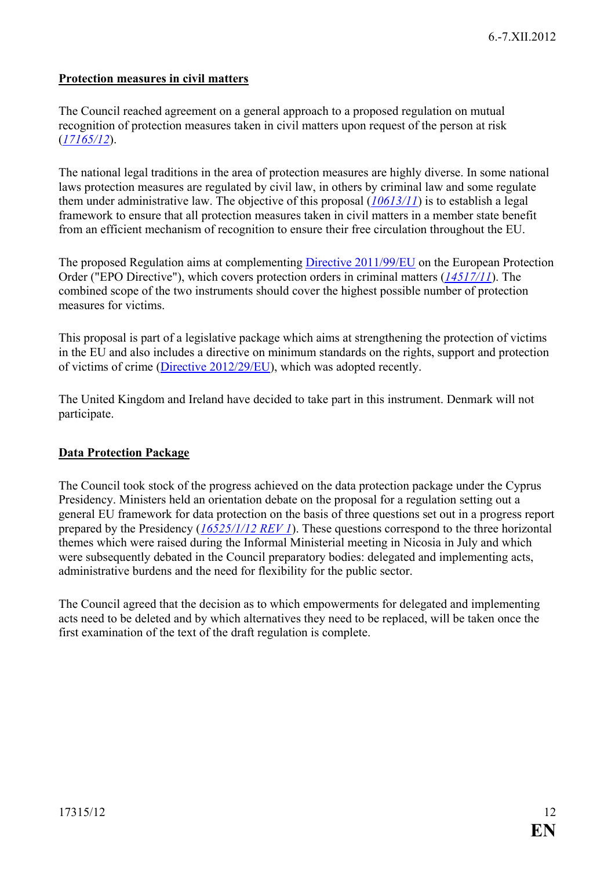#### <span id="page-11-0"></span>**Protection measures in civil matters**

The Council reached agreement on a general approach to a proposed regulation on mutual recognition of protection measures taken in civil matters upon request of the person at risk (*[17165/12](http://register.consilium.europa.eu/pdf/en/12/st17/st17165.en12.pdf)*).

The national legal traditions in the area of protection measures are highly diverse. In some national laws protection measures are regulated by civil law, in others by criminal law and some regulate them under administrative law. The objective of this proposal (*[10613/11](http://register.consilium.europa.eu/pdf/en/11/st10/st10613.en11.pdf)*) is to establish a legal framework to ensure that all protection measures taken in civil matters in a member state benefit from an efficient mechanism of recognition to ensure their free circulation throughout the EU.

The proposed Regulation aims at complementing [Directive 2011/99/EU](http://eur-lex.europa.eu/LexUriServ/LexUriServ.do?uri=OJ:L:2011:338:0002:0018:EN:PDF) on the European Protection Order ("EPO Directive"), which covers protection orders in criminal matters (*[14517/11](http://www.consilium.europa.eu/uedocs/cms_data/docs/pressdata/en/jha/124718.pdf)*). The combined scope of the two instruments should cover the highest possible number of protection measures for victims.

This proposal is part of a legislative package which aims at strengthening the protection of victims in the EU and also includes a directive on minimum standards on the rights, support and protection of victims of crime [\(Directive 2012/29/EU\)](http://eur-lex.europa.eu/LexUriServ/LexUriServ.do?uri=OJ:L:2012:315:0057:0073:EN:PDF), which was adopted recently.

The United Kingdom and Ireland have decided to take part in this instrument. Denmark will not participate.

#### <span id="page-11-1"></span>**Data Protection Package**

The Council took stock of the progress achieved on the data protection package under the Cyprus Presidency. Ministers held an orientation debate on the proposal for a regulation setting out a general EU framework for data protection on the basis of three questions set out in a progress report prepared by the Presidency (*[16525/1/12 REV 1](http://register.consilium.europa.eu/pdf/en/12/st16/st16525-re01.en12.pdf)*). These questions correspond to the three horizontal themes which were raised during the Informal Ministerial meeting in Nicosia in July and which were subsequently debated in the Council preparatory bodies: delegated and implementing acts, administrative burdens and the need for flexibility for the public sector.

The Council agreed that the decision as to which empowerments for delegated and implementing acts need to be deleted and by which alternatives they need to be replaced, will be taken once the first examination of the text of the draft regulation is complete.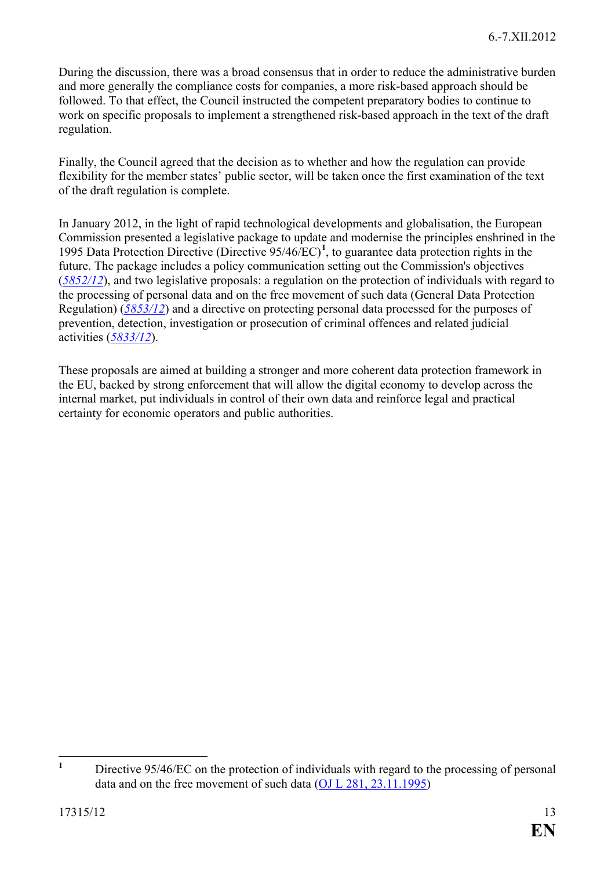During the discussion, there was a broad consensus that in order to reduce the administrative burden and more generally the compliance costs for companies, a more risk-based approach should be followed. To that effect, the Council instructed the competent preparatory bodies to continue to work on specific proposals to implement a strengthened risk-based approach in the text of the draft regulation.

Finally, the Council agreed that the decision as to whether and how the regulation can provide flexibility for the member states' public sector, will be taken once the first examination of the text of the draft regulation is complete.

In January 2012, in the light of rapid technological developments and globalisation, the European Commission presented a legislative package to update and modernise the principles enshrined in the 1995 Data Protection Directive (Directive 95/46/EC)**[1](#page-12-0)** , to guarantee data protection rights in the future. The package includes a policy communication setting out the Commission's objectives (*[5852/12](http://register.consilium.europa.eu/pdf/en/12/st05/st05852.en12.pdf)*), and two legislative proposals: a regulation on the protection of individuals with regard to the processing of personal data and on the free movement of such data (General Data Protection Regulation) (*[5853/12](http://register.consilium.europa.eu/pdf/en/12/st05/st05853.en12.pdf)*) and a directive on protecting personal data processed for the purposes of prevention, detection, investigation or prosecution of criminal offences and related judicial activities (*[5833/12](http://register.consilium.europa.eu/pdf/en/12/st05/st05833.en12.pdf)*).

These proposals are aimed at building a stronger and more coherent data protection framework in the EU, backed by strong enforcement that will allow the digital economy to develop across the internal market, put individuals in control of their own data and reinforce legal and practical certainty for economic operators and public authorities.

<span id="page-12-0"></span><sup>&</sup>lt;sup>1</sup> Directive 95/46/EC on the protection of individuals with regard to the processing of personal data and on the free movement of such data [\(OJ L 281, 23.11.1995\)](http://eur-lex.europa.eu/JOIndex.do?year=1995&serie=L&textfield2=281&Submit=Search&ihmlang=en)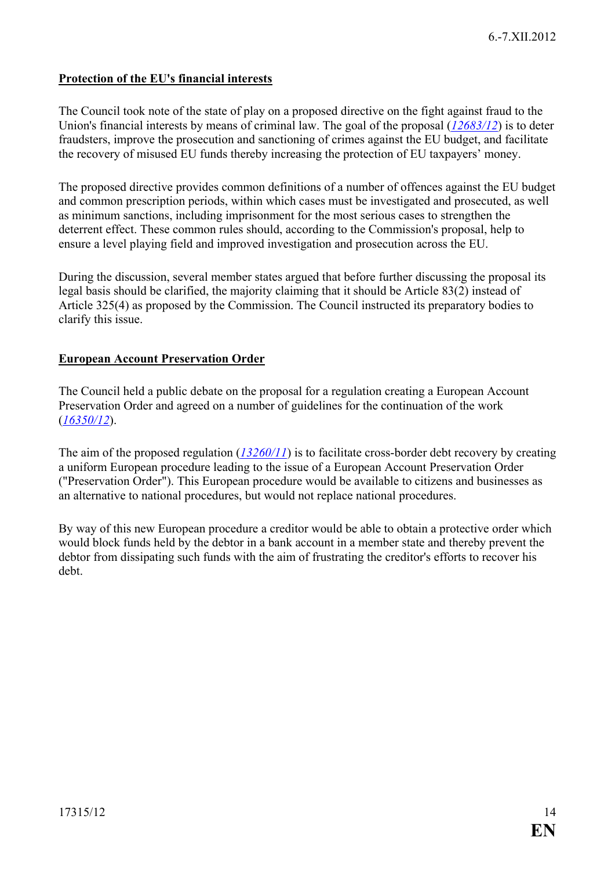#### <span id="page-13-0"></span>**Protection of the EU's financial interests**

The Council took note of the state of play on a proposed directive on the fight against fraud to the Union's financial interests by means of criminal law. The goal of the proposal (*[12683/12](http://register.consilium.europa.eu/pdf/en/12/st12/st12683.en12.pdf)*) is to deter fraudsters, improve the prosecution and sanctioning of crimes against the EU budget, and facilitate the recovery of misused EU funds thereby increasing the protection of EU taxpayers' money.

The proposed directive provides common definitions of a number of offences against the EU budget and common prescription periods, within which cases must be investigated and prosecuted, as well as minimum sanctions, including imprisonment for the most serious cases to strengthen the deterrent effect. These common rules should, according to the Commission's proposal, help to ensure a level playing field and improved investigation and prosecution across the EU.

During the discussion, several member states argued that before further discussing the proposal its legal basis should be clarified, the majority claiming that it should be Article 83(2) instead of Article 325(4) as proposed by the Commission. The Council instructed its preparatory bodies to clarify this issue.

#### <span id="page-13-1"></span>**European Account Preservation Order**

The Council held a public debate on the proposal for a regulation creating a European Account Preservation Order and agreed on a number of guidelines for the continuation of the work (*[16350/12](http://register.consilium.europa.eu/pdf/en/12/st16/st16350.en12.pdf)*).

The aim of the proposed regulation (*[13260/11](http://register.consilium.europa.eu/pdf/en/11/st13/st13260.en11.pdf)*) is to facilitate cross-border debt recovery by creating a uniform European procedure leading to the issue of a European Account Preservation Order ("Preservation Order"). This European procedure would be available to citizens and businesses as an alternative to national procedures, but would not replace national procedures.

By way of this new European procedure a creditor would be able to obtain a protective order which would block funds held by the debtor in a bank account in a member state and thereby prevent the debtor from dissipating such funds with the aim of frustrating the creditor's efforts to recover his debt.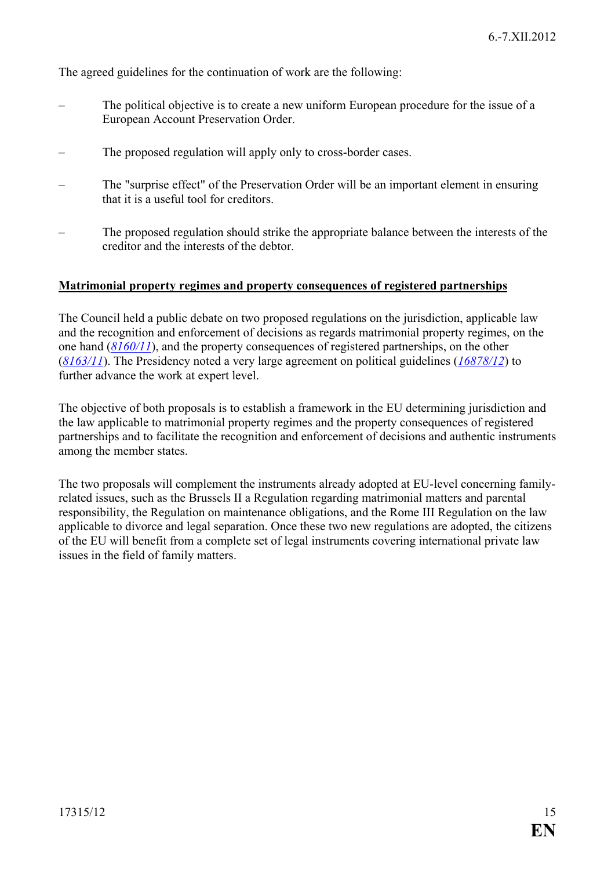The agreed guidelines for the continuation of work are the following:

- The political objective is to create a new uniform European procedure for the issue of a European Account Preservation Order.
- The proposed regulation will apply only to cross-border cases.
- The "surprise effect" of the Preservation Order will be an important element in ensuring that it is a useful tool for creditors.
- The proposed regulation should strike the appropriate balance between the interests of the creditor and the interests of the debtor.

#### <span id="page-14-0"></span>**Matrimonial property regimes and property consequences of registered partnerships**

The Council held a public debate on two proposed regulations on the jurisdiction, applicable law and the recognition and enforcement of decisions as regards matrimonial property regimes, on the one hand (*[8160/11](http://register.consilium.europa.eu/pdf/en/11/st08/st08160.en11.pdf)*), and the property consequences of registered partnerships, on the other (*[8163/11](http://register.consilium.europa.eu/pdf/en/11/st08/st08163.en11.pdf)*). The Presidency noted a very large agreement on political guidelines (*[16878/12](http://register.consilium.europa.eu/pdf/en/12/st16/st16878.en12.pdf)*) to further advance the work at expert level.

The objective of both proposals is to establish a framework in the EU determining jurisdiction and the law applicable to matrimonial property regimes and the property consequences of registered partnerships and to facilitate the recognition and enforcement of decisions and authentic instruments among the member states.

The two proposals will complement the instruments already adopted at EU-level concerning familyrelated issues, such as the Brussels II a Regulation regarding matrimonial matters and parental responsibility, the Regulation on maintenance obligations, and the Rome III Regulation on the law applicable to divorce and legal separation. Once these two new regulations are adopted, the citizens of the EU will benefit from a complete set of legal instruments covering international private law issues in the field of family matters.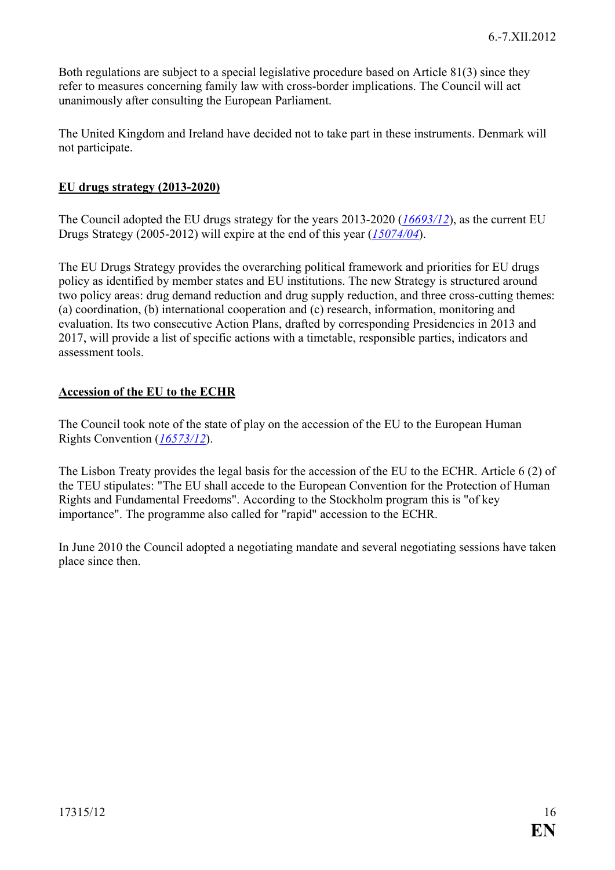Both regulations are subject to a special legislative procedure based on Article 81(3) since they refer to measures concerning family law with cross-border implications. The Council will act unanimously after consulting the European Parliament.

The United Kingdom and Ireland have decided not to take part in these instruments. Denmark will not participate.

#### <span id="page-15-0"></span>**EU drugs strategy (2013-2020)**

The Council adopted the EU drugs strategy for the years 2013-2020 (*[16693/12](http://register.consilium.europa.eu/pdf/en/12/st16/st16693.en12.pdf)*), as the current EU Drugs Strategy (2005-2012) will expire at the end of this year (*[15074/04](http://register.consilium.europa.eu/pdf/en/04/st15/st15074.en04.pdf)*).

The EU Drugs Strategy provides the overarching political framework and priorities for EU drugs policy as identified by member states and EU institutions. The new Strategy is structured around two policy areas: drug demand reduction and drug supply reduction, and three cross-cutting themes: (a) coordination, (b) international cooperation and (c) research, information, monitoring and evaluation. Its two consecutive Action Plans, drafted by corresponding Presidencies in 2013 and 2017, will provide a list of specific actions with a timetable, responsible parties, indicators and assessment tools.

#### <span id="page-15-1"></span>**Accession of the EU to the ECHR**

The Council took note of the state of play on the accession of the EU to the European Human Rights Convention (*[16573/12](http://register.consilium.europa.eu/pdf/en/12/st16/st16573.en12.pdf)*).

The Lisbon Treaty provides the legal basis for the accession of the EU to the ECHR. Article 6 (2) of the TEU stipulates: "The EU shall accede to the European Convention for the Protection of Human Rights and Fundamental Freedoms". According to the Stockholm program this is "of key importance". The programme also called for "rapid" accession to the ECHR.

In June 2010 the Council adopted a negotiating mandate and several negotiating sessions have taken place since then.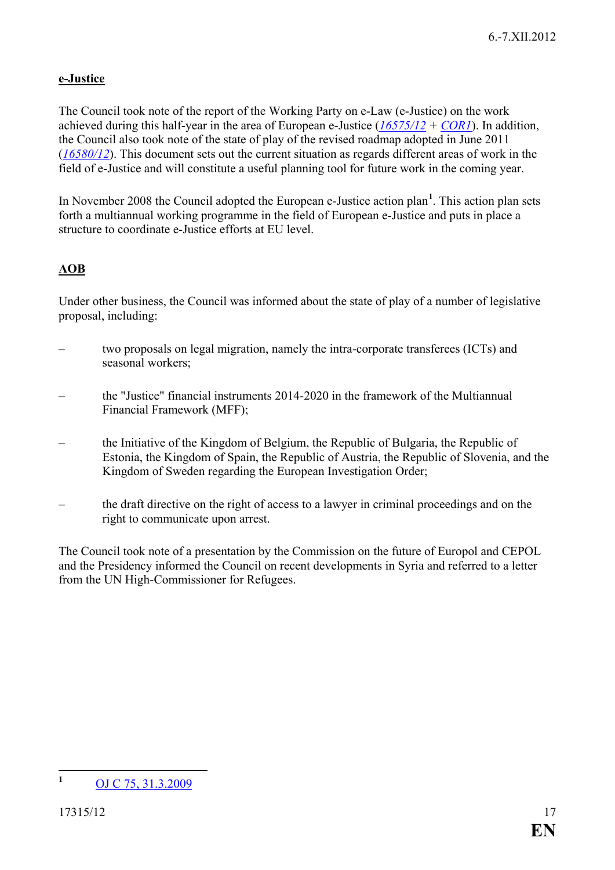# <span id="page-16-0"></span>**e-Justice**

The Council took note of the report of the Working Party on e-Law (e-Justice) on the work achieved during this half-year in the area of European e-Justice (*[16575/12](http://register.consilium.europa.eu/pdf/en/12/st16/st16575.en12.pdf) + [COR1](http://register.consilium.europa.eu/pdf/en/12/st16/st16575-co01.en12.pdf)*). In addition, the Council also took note of the state of play of the revised roadmap adopted in June 2011 (*[16580/12](http://register.consilium.europa.eu/pdf/en/12/st16/st16580.en12.pdf)*). This document sets out the current situation as regards different areas of work in the field of e-Justice and will constitute a useful planning tool for future work in the coming year.

In November 2008 the Council adopted the European e-Justice action plan**[1](#page-16-2)** . This action plan sets forth a multiannual working programme in the field of European e-Justice and puts in place a structure to coordinate e-Justice efforts at EU level.

# <span id="page-16-1"></span>**AOB**

Under other business, the Council was informed about the state of play of a number of legislative proposal, including:

- two proposals on legal migration, namely the intra-corporate transferees (ICTs) and seasonal workers;
- the "Justice" financial instruments 2014-2020 in the framework of the Multiannual Financial Framework (MFF);
- the Initiative of the Kingdom of Belgium, the Republic of Bulgaria, the Republic of Estonia, the Kingdom of Spain, the Republic of Austria, the Republic of Slovenia, and the Kingdom of Sweden regarding the European Investigation Order;
- the draft directive on the right of access to a lawyer in criminal proceedings and on the right to communicate upon arrest.

The Council took note of a presentation by the Commission on the future of Europol and CEPOL and the Presidency informed the Council on recent developments in Syria and referred to a letter from the UN High-Commissioner for Refugees.

<span id="page-16-2"></span>**<sup>1</sup>** [OJ C 75, 31.3.2009](http://eur-lex.europa.eu/LexUriServ/LexUriServ.do?uri=OJ:C:2009:075:0001:0012:en:PDF)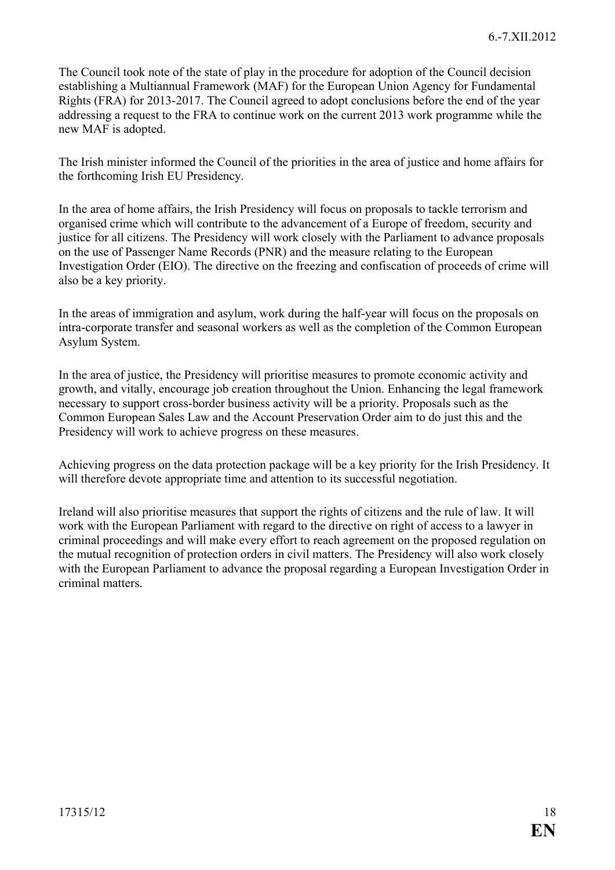The Council took note of the state of play in the procedure for adoption of the Council decision establishing a Multiannual Framework (MAF) for the European Union Agency for Fundamental Rights (FRA) for 2013-2017. The Council agreed to adopt conclusions before the end of the year addressing a request to the FRA to continue work on the current 2013 work programme while the new MAF is adopted.

The Irish minister informed the Council of the priorities in the area of justice and home affairs for the forthcoming Irish EU Presidency.

In the area of home affairs, the Irish Presidency will focus on proposals to tackle terrorism and organised crime which will contribute to the advancement of a Europe of freedom, security and justice for all citizens. The Presidency will work closely with the Parliament to advance proposals on the use of Passenger Name Records (PNR) and the measure relating to the European Investigation Order (EIO). The directive on the freezing and confiscation of proceeds of crime will also be a key priority.

In the areas of immigration and asylum, work during the half-year will focus on the proposals on intra-corporate transfer and seasonal workers as well as the completion of the Common European Asylum System.

In the area of justice, the Presidency will prioritise measures to promote economic activity and growth, and vitally, encourage job creation throughout the Union. Enhancing the legal framework necessary to support cross-border business activity will be a priority. Proposals such as the Common European Sales Law and the Account Preservation Order aim to do just this and the Presidency will work to achieve progress on these measures.

Achieving progress on the data protection package will be a key priority for the Irish Presidency. It will therefore devote appropriate time and attention to its successful negotiation.

Ireland will also prioritise measures that support the rights of citizens and the rule of law. It will work with the European Parliament with regard to the directive on right of access to a lawyer in criminal proceedings and will make every effort to reach agreement on the proposed regulation on the mutual recognition of protection orders in civil matters. The Presidency will also work closely with the European Parliament to advance the proposal regarding a European Investigation Order in criminal matters.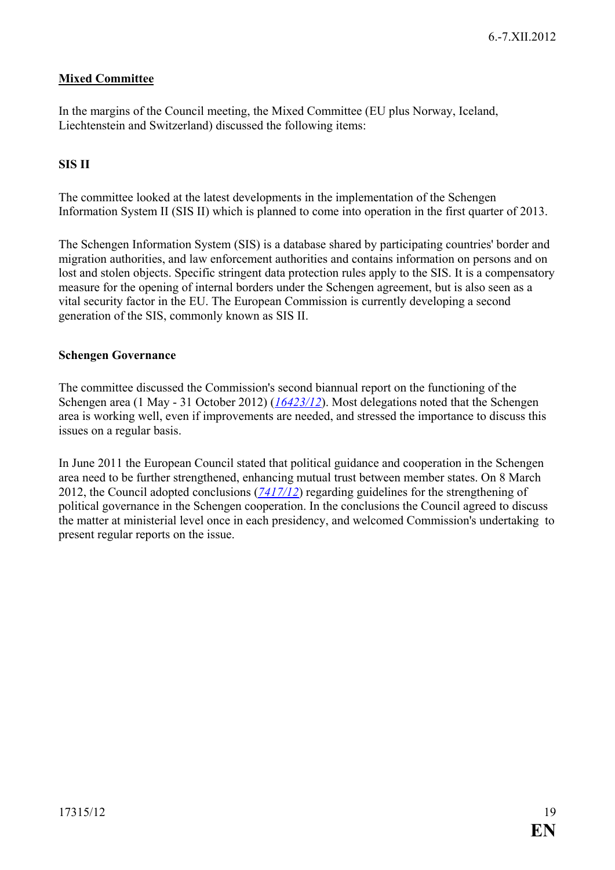### <span id="page-18-0"></span>**Mixed Committee**

In the margins of the Council meeting, the Mixed Committee (EU plus Norway, Iceland, Liechtenstein and Switzerland) discussed the following items:

#### <span id="page-18-1"></span>**SIS II**

The committee looked at the latest developments in the implementation of the Schengen Information System II (SIS II) which is planned to come into operation in the first quarter of 2013.

The Schengen Information System (SIS) is a database shared by participating countries' border and migration authorities, and law enforcement authorities and contains information on persons and on lost and stolen objects. Specific stringent data protection rules apply to the SIS. It is a compensatory measure for the opening of internal borders under the Schengen agreement, but is also seen as a vital security factor in the EU. The European Commission is currently developing a second generation of the SIS, commonly known as SIS II.

#### <span id="page-18-2"></span>**Schengen Governance**

The committee discussed the Commission's second biannual report on the functioning of the Schengen area (1 May - 31 October 2012) (*[16423/12](http://register.consilium.europa.eu/pdf/en/12/st16/st16423.en12.pdf)*). Most delegations noted that the Schengen area is working well, even if improvements are needed, and stressed the importance to discuss this issues on a regular basis.

In June 2011 the European Council stated that political guidance and cooperation in the Schengen area need to be further strengthened, enhancing mutual trust between member states. On 8 March 2012, the Council adopted conclusions (*[7417/12](http://register.consilium.europa.eu/pdf/en/12/st07/st07417.en12.pdf)*) regarding guidelines for the strengthening of political governance in the Schengen cooperation. In the conclusions the Council agreed to discuss the matter at ministerial level once in each presidency, and welcomed Commission's undertaking to present regular reports on the issue.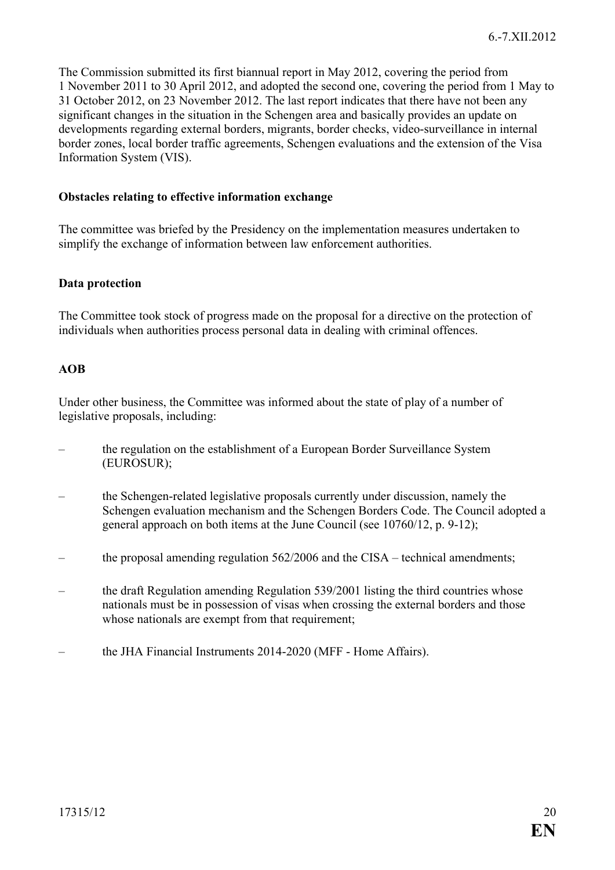The Commission submitted its first biannual report in May 2012, covering the period from 1 November 2011 to 30 April 2012, and adopted the second one, covering the period from 1 May to 31 October 2012, on 23 November 2012. The last report indicates that there have not been any significant changes in the situation in the Schengen area and basically provides an update on developments regarding external borders, migrants, border checks, video-surveillance in internal border zones, local border traffic agreements, Schengen evaluations and the extension of the Visa Information System (VIS).

#### <span id="page-19-0"></span>**Obstacles relating to effective information exchange**

The committee was briefed by the Presidency on the implementation measures undertaken to simplify the exchange of information between law enforcement authorities.

#### <span id="page-19-1"></span>**Data protection**

The Committee took stock of progress made on the proposal for a directive on the protection of individuals when authorities process personal data in dealing with criminal offences.

#### <span id="page-19-2"></span>**AOB**

Under other business, the Committee was informed about the state of play of a number of legislative proposals, including:

- the regulation on the establishment of a European Border Surveillance System (EUROSUR);
- the Schengen-related legislative proposals currently under discussion, namely the Schengen evaluation mechanism and the Schengen Borders Code. The Council adopted a general approach on both items at the June Council (see [10760/12,](http://www.consilium.europa.eu/uedocs/cms_data/docs/pressdata/en/jha/130761.pdf) p. 9-12);
- the proposal amending regulation 562/2006 and the CISA technical amendments;
- the draft Regulation amending Regulation 539/2001 listing the third countries whose nationals must be in possession of visas when crossing the external borders and those whose nationals are exempt from that requirement;
- the JHA Financial Instruments 2014-2020 (MFF Home Affairs).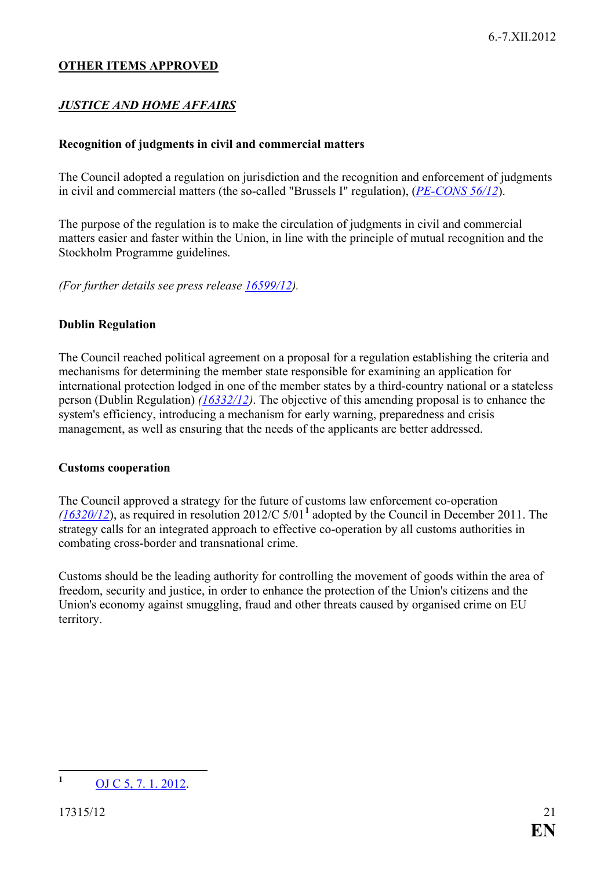#### **OTHER ITEMS APPROVED**

# *JUSTICE AND HOME AFFAIRS*

#### <span id="page-20-0"></span>**Recognition of judgments in civil and commercial matters**

The Council adopted a regulation on jurisdiction and the recognition and enforcement of judgments in civil and commercial matters (the so-called "Brussels I" regulation), (*[PE-CONS 56/12](http://register.consilium.europa.eu/pdf/en/12/pe00/pe00056.en12.pdf)*).

The purpose of the regulation is to make the circulation of judgments in civil and commercial matters easier and faster within the Union, in line with the principle of mutual recognition and the Stockholm Programme guidelines.

*(For further details see press release [16599/12\)](http://www.consilium.europa.eu/uedocs/cms_data/docs/pressdata/en/jha/134071.pdf).*

#### <span id="page-20-1"></span>**Dublin Regulation**

The Council reached political agreement on a proposal for a regulation establishing the criteria and mechanisms for determining the member state responsible for examining an application for international protection lodged in one of the member states by a third-country national or a stateless person (Dublin Regulation) *[\(16332/12\)](http://register.consilium.europa.eu/pdf/en/12/st16/st16332.en12.pdf)*. The objective of this amending proposal is to enhance the system's efficiency, introducing a mechanism for early warning, preparedness and crisis management, as well as ensuring that the needs of the applicants are better addressed.

#### <span id="page-20-2"></span>**Customs cooperation**

The Council approved a strategy for the future of customs law enforcement co-operation *[\(16320/12](http://register.consilium.europa.eu/pdf/en/12/st16/st16320.en12.pdf)*), as required in resolution 2012/C 5/01**[1](#page-20-3)** adopted by the Council in December 2011. The strategy calls for an integrated approach to effective co-operation by all customs authorities in combating cross-border and transnational crime.

Customs should be the leading authority for controlling the movement of goods within the area of freedom, security and justice, in order to enhance the protection of the Union's citizens and the Union's economy against smuggling, fraud and other threats caused by organised crime on EU territory.

<span id="page-20-3"></span>**<sup>1</sup>** [OJ C 5, 7. 1. 2012.](http://eur-lex.europa.eu/JOIndex.do?year=2012&serie=C&textfield2=5&Submit=Search&_submit=Search&ihmlang=en)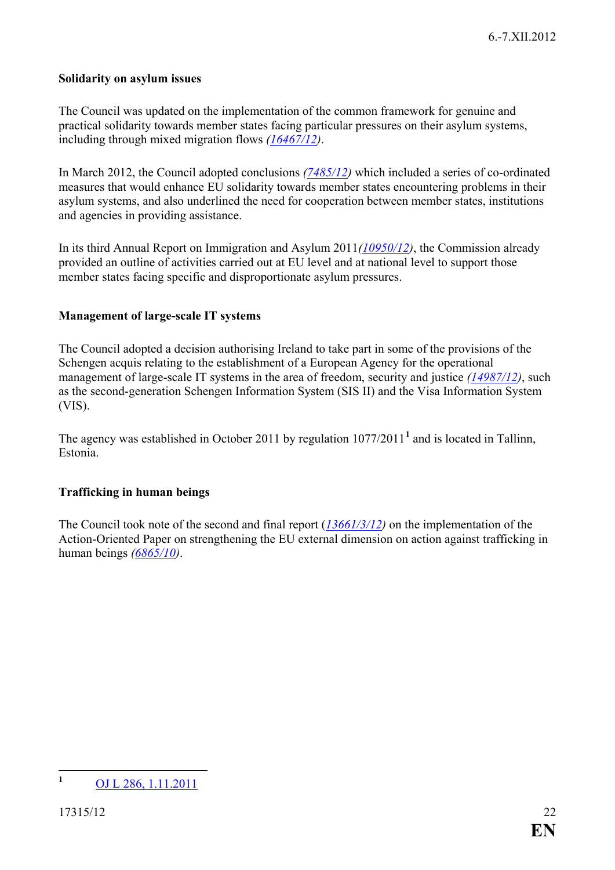#### <span id="page-21-0"></span>**Solidarity on asylum issues**

The Council was updated on the implementation of the common framework for genuine and practical solidarity towards member states facing particular pressures on their asylum systems, including through mixed migration flows *[\(16467/12\)](http://register.consilium.europa.eu/pdf/en/12/st16/st16467.en12.pdf)*.

In March 2012, the Council adopted conclusions *[\(7485/12\)](http://register.consilium.europa.eu/pdf/en/12/st07/st07485.en12.pdf)* which included a series of co-ordinated measures that would enhance EU solidarity towards member states encountering problems in their asylum systems, and also underlined the need for cooperation between member states, institutions and agencies in providing assistance.

In its third Annual Report on Immigration and Asylum 2011*[\(10950/12\)](http://register.consilium.europa.eu/pdf/en/12/st10/st10950.en12.pdf)*, the Commission already provided an outline of activities carried out at EU level and at national level to support those member states facing specific and disproportionate asylum pressures.

#### <span id="page-21-1"></span>**Management of large-scale IT systems**

The Council adopted a decision authorising Ireland to take part in some of the provisions of the Schengen acquis relating to the establishment of a European Agency for the operational management of large-scale IT systems in the area of freedom, security and justice *[\(14987/12\)](http://register.consilium.europa.eu/pdf/en/12/st14/st14987.en12.pdf)*, such as the second-generation Schengen Information System (SIS II) and the Visa Information System (VIS).

The agency was established in October 20[1](#page-21-3)1 by regulation  $1077/2011<sup>1</sup>$  and is located in Tallinn. Estonia.

#### <span id="page-21-2"></span>**Trafficking in human beings**

The Council took note of the second and final report (*[13661/3/12\)](http://register.consilium.europa.eu/pdf/en/12/st13/st13661-re03.en12.pdf)* on the implementation of the Action-Oriented Paper on strengthening the EU external dimension on action against trafficking in human beings *[\(6865/10\)](http://register.consilium.europa.eu/pdf/en/10/st06/st06865.en10.pdf)*.

<span id="page-21-3"></span>**<sup>1</sup>** [OJ L 286, 1.11.2011](http://eur-lex.europa.eu/JOIndex.do?year=2011&serie=L&textfield2=286&Submit=Search&ihmlang=en)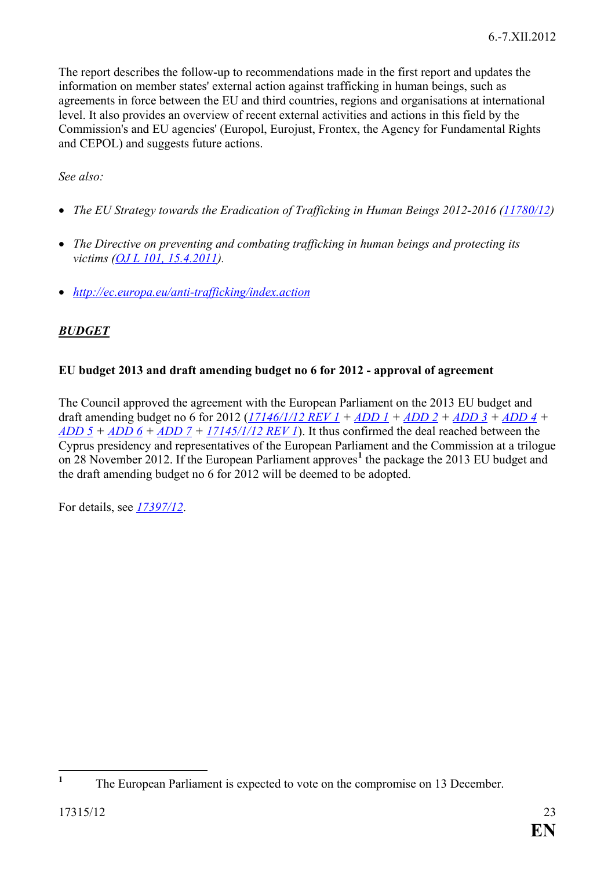The report describes the follow-up to recommendations made in the first report and updates the information on member states' external action against trafficking in human beings, such as agreements in force between the EU and third countries, regions and organisations at international level. It also provides an overview of recent external activities and actions in this field by the Commission's and EU agencies' (Europol, Eurojust, Frontex, the Agency for Fundamental Rights and CEPOL) and suggests future actions.

*See also:*

- *The EU Strategy towards the Eradication of Trafficking in Human Beings 2012-2016 [\(11780/12\)](http://register.consilium.europa.eu/pdf/en/12/st11/st11780.en12.pdf)*
- *The Directive on preventing and combating trafficking in human beings and protecting its victims [\(OJ L 101, 15.4.2011\)](http://eur-lex.europa.eu/JOIndex.do?year=2011&serie=L&textfield2=101&Submit=Search&ihmlang=en).*
- *<http://ec.europa.eu/anti-trafficking/index.action>*

# *BUDGET*

# <span id="page-22-0"></span>**EU budget 2013 and draft amending budget no 6 for 2012 - approval of agreement**

The Council approved the agreement with the European Parliament on the 2013 EU budget and draft amending budget no 6 for 2012 (*[17146/1/12 REV 1](http://register.consilium.europa.eu/pdf/en/12/st17/st17146-re01.en12.pdf) + [ADD 1](http://register.consilium.europa.eu/pdf/en/12/st17/st17146-ad01.en12.pdf) + [ADD 2](http://register.consilium.europa.eu/pdf/en/12/st17/st17146-ad02.en12.pdf) + [ADD 3](http://register.consilium.europa.eu/pdf/en/12/st17/st17146-ad03.en12.pdf) + [ADD](http://register.consilium.europa.eu/pdf/en/12/st17/st17146-ad04.en12.pdf) 4 +*   $$ Cyprus presidency and representatives of the European Parliament and the Commission at a trilogue on 28 November 2012. If the European Parliament approves**[1](#page-22-1)** the package the 2013 EU budget and the draft amending budget no 6 for 2012 will be deemed to be adopted.

For details, see *[17397/12](http://www.consilium.europa.eu/uedocs/cms_data/docs/pressdata/en/ecofin/134073.pdf)*.

<span id="page-22-1"></span><sup>&</sup>lt;sup>1</sup> The European Parliament is expected to vote on the compromise on 13 December.